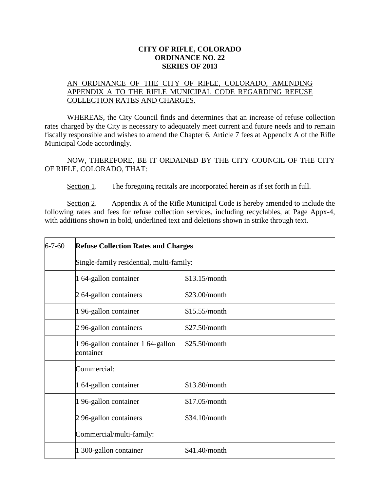## **CITY OF RIFLE, COLORADO ORDINANCE NO. 22 SERIES OF 2013**

## AN ORDINANCE OF THE CITY OF RIFLE, COLORADO, AMENDING APPENDIX A TO THE RIFLE MUNICIPAL CODE REGARDING REFUSE COLLECTION RATES AND CHARGES.

WHEREAS, the City Council finds and determines that an increase of refuse collection rates charged by the City is necessary to adequately meet current and future needs and to remain fiscally responsible and wishes to amend the Chapter 6, Article 7 fees at Appendix A of the Rifle Municipal Code accordingly.

NOW, THEREFORE, BE IT ORDAINED BY THE CITY COUNCIL OF THE CITY OF RIFLE, COLORADO, THAT:

Section 1. The foregoing recitals are incorporated herein as if set forth in full.

Section 2. Appendix A of the Rifle Municipal Code is hereby amended to include the following rates and fees for refuse collection services, including recyclables, at Page Appx-4, with additions shown in bold, underlined text and deletions shown in strike through text.

| $6 - 7 - 60$ | <b>Refuse Collection Rates and Charges</b><br>Single-family residential, multi-family: |               |
|--------------|----------------------------------------------------------------------------------------|---------------|
|              |                                                                                        |               |
|              | 1 64-gallon container                                                                  | \$13.15/month |
|              | 2 64-gallon containers                                                                 | \$23.00/month |
|              | 1 96-gallon container                                                                  | \$15.55/month |
|              | 2 96-gallon containers                                                                 | \$27.50/month |
|              | 196-gallon container 164-gallon<br>container                                           | \$25.50/month |
|              | Commercial:                                                                            |               |
|              | 1 64-gallon container                                                                  | \$13.80/month |
|              | 1 96-gallon container                                                                  | \$17.05/month |
|              | 2 96-gallon containers                                                                 | \$34.10/month |
|              | Commercial/multi-family:                                                               |               |
|              | 1 300-gallon container                                                                 | \$41.40/month |